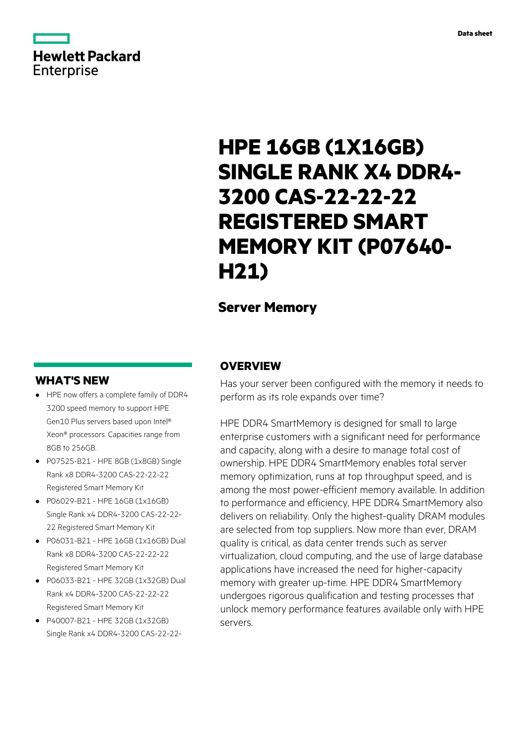

# **HPE 16GB (1X16GB) SINGLE RANK X4 DDR4- 3200 CAS-22-22-22 REGISTERED SMART MEMORY KIT (P07640- H21)**

# **Server Memory**

## **WHAT'S NEW**

- **·** HPE now offers a complete family of DDR4 3200 speed memory to support HPE Gen10 Plus servers based upon Intel® Xeon® processors. Capacities range from 8GB to 256GB.
- **·** P07525-B21 HPE 8GB (1x8GB) Single Rank x8 DDR4-3200 CAS-22-22-22 Registered Smart Memory Kit
- **·** P06029-B21 HPE 16GB (1x16GB) Single Rank x4 DDR4-3200 CAS-22-22- 22 Registered Smart Memory Kit
- **·** P06031-B21 HPE 16GB (1x16GB) Dual Rank x8 DDR4-3200 CAS-22-22-22 Registered Smart Memory Kit
- **·** P06033-B21 HPE 32GB (1x32GB) Dual Rank x4 DDR4-3200 CAS-22-22-22 Registered Smart Memory Kit
- **·** P40007-B21 HPE 32GB (1x32GB) Single Rank x4 DDR4-3200 CAS-22-22-

## **OVERVIEW**

Has your server been configured with the memory it needs to perform as its role expands over time?

HPE DDR4 SmartMemory is designed for small to large enterprise customers with a significant need for performance and capacity, along with a desire to manage total cost of ownership. HPE DDR4 SmartMemory enables total server memory optimization, runs at top throughput speed, and is among the most power-efficient memory available. In addition to performance and efficiency, HPE DDR4 SmartMemory also delivers on reliability. Only the highest-quality DRAM modules are selected from top suppliers. Now more than ever, DRAM quality is critical, as data center trends such as server virtualization, cloud computing, and the use of large database applications have increased the need for higher-capacity memory with greater up-time. HPE DDR4 SmartMemory undergoes rigorous qualification and testing processes that unlock memory performance features available only with HPE servers.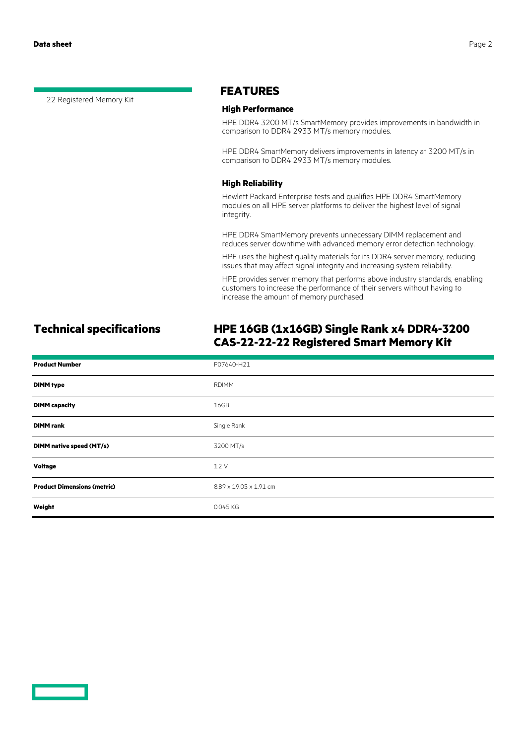22 Registered Memory Kit

### **FEATURES**

### **High Performance**

HPE DDR4 3200 MT/s SmartMemory provides improvements in bandwidth in comparison to DDR4 2933 MT/s memory modules.

HPE DDR4 SmartMemory delivers improvements in latency at 3200 MT/s in comparison to DDR4 2933 MT/s memory modules.

### **High Reliability**

Hewlett Packard Enterprise tests and qualifies HPE DDR4 SmartMemory modules on all HPE server platforms to deliver the highest level of signal integrity.

HPE DDR4 SmartMemory prevents unnecessary DIMM replacement and reduces server downtime with advanced memory error detection technology.

HPE uses the highest quality materials for its DDR4 server memory, reducing issues that may affect signal integrity and increasing system reliability.

HPE provides server memory that performs above industry standards, enabling customers to increase the performance of their servers without having to increase the amount of memory purchased.

# **Technical specifications HPE 16GB (1x16GB) Single Rank x4 DDR4-3200 CAS-22-22-22 Registered Smart Memory Kit**

| <b>Product Number</b>              | P07640-H21             |
|------------------------------------|------------------------|
| <b>DIMM type</b>                   | <b>RDIMM</b>           |
| <b>DIMM</b> capacity               | 16GB                   |
| <b>DIMM</b> rank                   | Single Rank            |
| DIMM native speed (MT/s)           | 3200 MT/s              |
| <b>Voltage</b>                     | 1.2V                   |
| <b>Product Dimensions (metric)</b> | 8.89 x 19.05 x 1.91 cm |
| Weight                             | 0.045 KG               |